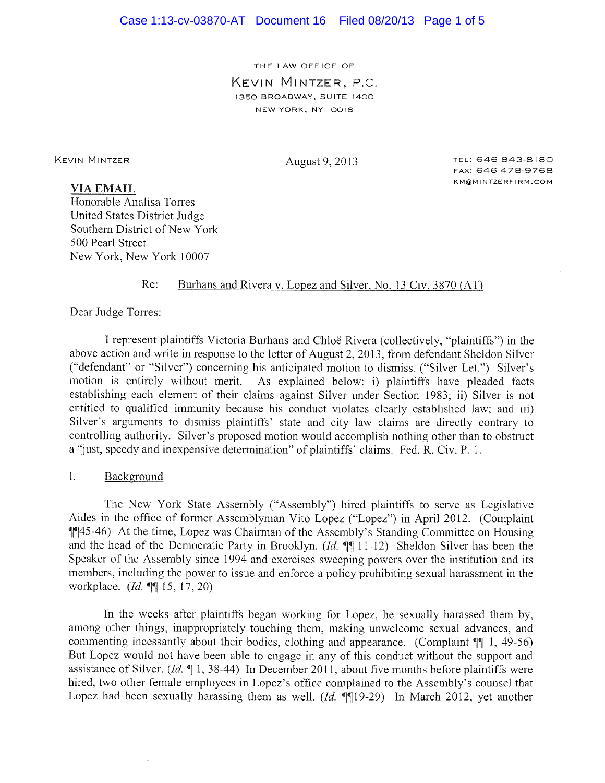THE LAW OFFICE OF KEVIN MINTZER, P.C. 1350 BROADWAY, SUITE 1400 NEW YORK, NY IOOI8

KEVIN MINTZER August 9, 2013 TEL: 646-843-8180 FAX: 646-478-9768 K M @ M I NT ZE R F I R M . CO M

## **VIA EMAIL**

Honorable Analisa Torres United States District Judge Southern District of New York 500 Pearl Street New York, New York 10007

### Re: Burhans and Rivera v. Lopez and Silver, No. 13 Civ. 3870 (AT)

Dear Judge Torres:

I represent plaintiffs Victoria Burhans and Chloe Rivera (collectively, "plaintiffs" ) in the above action and write in response to the letter of August 2, 2013, from defendant Sheldon Silver ("defendant" or "Silver") concerning his anticipated motion to dismiss. ("Silver Let.") Silver's motion is entirely without merit. As explained below: i) plaintiffs have pleaded facts establishing each element of their claims against Silver under Section 1983; ii} Silver is not entitled to qualified immunity because his conduct violates clearly established law; and iii} Silver's arguments to dismiss plaintiffs' state and city law claims are directly contrary to controlling authority. Silver's proposed motion would accomplish nothing other than to obstruct a "just, speedy and inexpensive determination" of plaintiffs' claims. Fed. R. Civ. P. 1.

#### $\mathbf{L}$ Background

The New York State Assembly ("Assembly"} hired plaintiffs to serve as Legislative Aides in the office of former Assemblyman Vito Lopez ("Lopez"} in April 2012. (Complaint  $\P$ [45-46) At the time, Lopez was Chairman of the Assembly's Standing Committee on Housing and the head of the Democratic Party in Brooklyn. (Id.  $\P$ ] 11-12) Sheldon Silver has been the Speaker of the Assembly since 1994 and exercises sweeping powers over the institution and its members, including the power to issue and enforce a policy prohibiting sexual harassment in the workplace.  $(Id. \P\P I 15, 17, 20)$ 

In the weeks after plaintiffs began working for Lopez, he sexually harassed them by, among other things, inappropriately touching them, making unwelcome sexual advances, and commenting incessantly about their bodies, clothing and appearance. (Complaint  $\P$  1, 49-56) But Lopez would not have been able to engage in any of this conduct without the support and assistance of Silver. (Id.  $\P$  1, 38-44) In December 2011, about five months before plaintiffs were hired, two other female employees in Lopez's office complained to the Assembly's counsel that Lopez had been sexually harassing them as well.  $(Id. \P\P19-29)$  In March 2012, yet another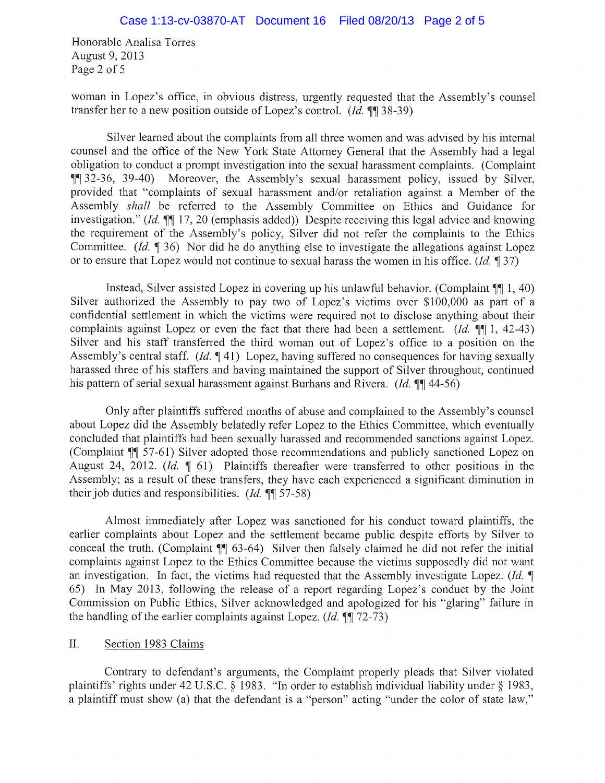Honorable Analisa Torres August 9, 2013 Page 2 of 5

woman in Lopez's office, in obvious distress, urgently requested that the Assembly's counsel transfer her to a new position outside of Lopez's control.  $(Id. \P\P$  38-39)

Silver learned about the complaints from all three women and was advised by his internal counsel and the office of the New York State Attorney General that the Assembly had a legal obligation to conduct a prompt investigation into the sexual harassment complaints. (Complaint  $\P$  $32-36$ ,  $39-40$ ) M oreover, the Assembly's sexual harassment policy, issued by Silver, provided that "complaints of sexual harassment and/or retaliation against a Member of the Assembly shall be referred to the Assembly Committee on Ethics and Guidance for investigation." (*Id.*  $\P$  17, 20 (emphasis added)) Despite receiving this legal advice and knowing the requirement of the Assembly's policy, Silver did not refer the complaints to the Ethics Committee. (*Id.*  $\llbracket 36 \rrbracket$  Nor did he do anything else to investigate the allegations against Lopez or to ensure that Lopez would not continue to sexual harass the women in his office. (*Id.*  $\parallel$  37)

Instead, Silver assisted Lopez in covering up his unlawful behavior. (Complaint  $\mathbb{N}$  1, 40) Silver authorized the Assembly to pay two of Lopez's victims over \$100,000 as part of a confidential settlement in which the victims were required not to disclose anything about their complaints against Lopez or even the fact that there had been a settlement. (*Id.*  $\P\P$  1, 42-43) Silver and his staff transferred the third woman out of Lopez's office to a position on the Assembly's central staff.  $(Id, \P 41)$  Lopez, having suffered no consequences for having sexually harassed three of his staffers and having maintained the support of Silver throughout, continued his pattern of serial sexual harassment against Burhans and Rivera. (*Id.*  $\left(\frac{1}{4}\right)$  44-56)

Only after plaintiffs suffered months of abuse and complained to the Assembly's counsel about Lopez did the Assembly belatedly refer Lopez to the Ethics Committee, which eventually concluded that plaintiffs had been sexually harassed and recommended sanctions against Lopez. (Complaint  $\P$  57-61) Silver adopted those recommendations and publicly sanctioned Lopez on August 24, 2012. (*Id.*  $\parallel$  61) Plaintiffs thereafter were transferred to other positions in the Assembly; as a result of these transfers, they have each experienced a significant diminution in their job duties and responsibilities. (*Id.*  $\P\P$  57-58)

Almost immediately after Lopez was sanctioned for his conduct toward plaintiffs, the earlier complaints about Lopez and the settlement became public despite efforts by Silver to conceal the truth. (Complaint  $\P$  63-64) Silver then falsely claimed he did not refer the initial complaints against Lopez to the Ethics Committee because the victims supposedly did not want an investigation. In fact, the victims had requested that the Assembly investigate Lopez. (*Id.*  $\P$ 65) In May 2013, following the release of a report regarding Lopez's conduct by the Joint Commission on Public Ethics, Silver acknowledged and apologized for his "glaring" failure in the handling of the earlier complaints against Lopez.  $(Id. \P \P$  72-73)

### II. Section 1983 Claims

Contrary to defendant's arguments, the Complaint properly pleads that Silver violated plaintiffs' rights under 42 U.S.C.  $\S$  1983. "In order to establish individual liability under  $\S$  1983, a plaintiff must show (a) that the defendant is a "person" acting "under the color of state law,"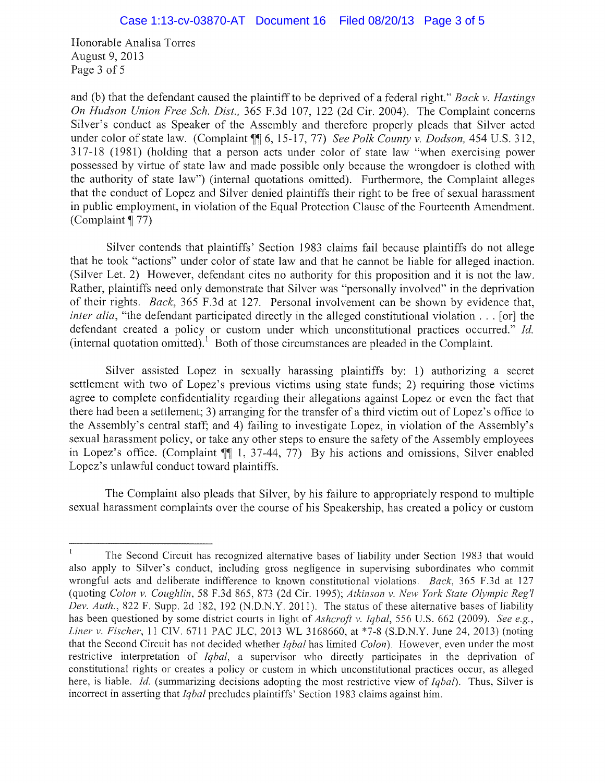Honorable Analisa Torres August 9, 2013 Page 3 of 5

and (b) that the defendant caused the plaintiff to be deprived of a federal right." Back v. Hastings On Hudson Union Free Sch. Dist., 365 F.3d 107, 122 (2d Cir. 2004). The Complaint concerns Silver's conduct as Speaker of the Assembly and therefore properly pleads that Silver acted under color of state law. (Complaint  $\P\P$  6, 15-17, 77) See Polk County v. Dodson, 454 U.S. 312, 317-18 (1981) (holding that a person acts under color of state law "when exercising power possessed by virtue of state law and made possible only because the wrongdoer is clothed with the authority of state law") (internal quotations omitted). Furthermore, the Complaint alleges that the conduct of Lopez and Silver denied plaintiffs their right to be free of sexual harassment in public employment, in violation of the Equal Protection Clause of the Fourteenth Amendment. (Complaint  $\P$  77)

Silver contends that plaintiffs' Section 1983 claims fail because plaintiffs do not allege that he took "actions" under color of state law and that he cannot be liable for alleged inaction. (Silver Let. 2) However, defendant cites no authority for this proposition and it is not the law. Rather, plaintiffs need only demonstrate that Silver was "personally involved" in the deprivation of their rights. Back, 365 F.3d at 127. Personal involvement can be shown by evidence that, inter alia, "the defendant participated directly in the alleged constitutional violation... [or] the defendant created a policy or custom under which unconstitutional practices occurred." Id. (internal quotation omitted). Both of those circumstances are pleaded in the Complaint.

Silver assisted Lopez in sexually harassing plaintiffs by: 1) authorizing a secret settlement with two of Lopez's previous victims using state funds; 2) requiring those victims agree to complete confidentiality regarding their allegations against Lopez or even the fact that there had been a settlement; 3) arranging for the transfer of a third victim out of Lopez's office to the Assembly's central staff; and 4) failing to investigate Lopez, in violation of the Assembly's sexual harassment policy, or take any other steps to ensure the safety of the Assembly employees in Lopez's office. (Complaint  $\P$ [ $\vert$  1, 37-44, 77) By his actions and omissions, Silver enabled Lopez's unlawful conduct toward plaintiffs.

The Complaint also pleads that Silver, by his failure to appropriately respond to multiple sexual harassment complaints over the course of his Speakership, has created a policy or custom

The Second Circuit has recognized alternative bases of liability under Section 1983 that would also apply to Silver's conduct, including gross negligence in supervising subordinates who commit wrongful acts and deliberate indifference to known constitutional violations. Back, 365 F.3d at 127 (quoting Colon v. Coughlin, 58 F.3d 865, 873 (2d Cir. 1995); Atkinson v. New York State Olympic Reg'l Dev. Auth., 822 F. Supp. 2d 182, 192 (N.D.N.Y. 2011). The status of these alternative bases of liability has been questioned by some district courts in light of Ashcroft v. Iqbal, 556 U.S. 662 (2009). See e.g., Liner v. Fischer, 11 CIV. 6711 PAC JLC, 2013 WL 3168660, at \*7-8 (S.D.N.Y. June 24, 2013) (noting that the Second Circuit has not decided whether Iqbal has limited Colon). However, even under the most restrictive interpretation of *Iqbal*, a supervisor who directly participates in the deprivation of constitutional rights or creates a policy or custom in which unconstitutional practices occur, as alleged here, is liable. Id. (summarizing decisions adopting the most restrictive view of  $Iqbal$ ). Thus, Silver is incorrect in asserting that  $Iqbal$  precludes plaintiffs' Section 1983 claims against him.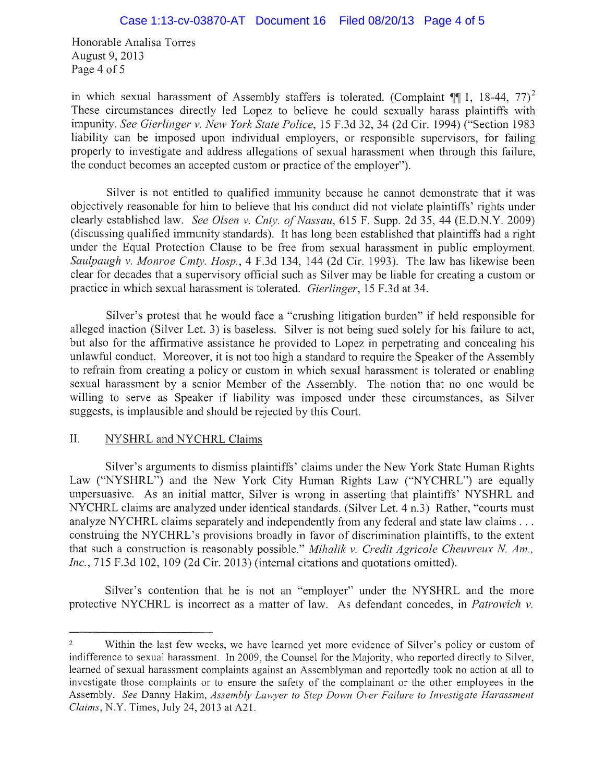Honorable Analisa Torres August 9, 2013 Page 4 of 5

in which sexual harassment of Assembly staffers is tolerated. (Complaint  $\P\P$ 1, 18-44, 77)<sup>2</sup> These circumstances directly led Lopez to believe he could sexually harass plaintiffs with impunity. See Gierlinger v. New York State Police, 15 F.3d 32, 34 (2d Cir. 1994) ("Section 1983 liability can be imposed upon individual employers, or responsible supervisors, for failing properly to investigate and address allegations of sexual harassment when through this failure, the conduct becomes an accepted custom or practice of the employer".

Silver is not entitled to qualified immunity because he cannot demonstrate that it was objectively reasonable for him to believe that his conduct did not violate plaintiffs' rights under clearly established law. See Olsen v. Cnty. of Nassau, 615 F. Supp. 2d 35, 44 (E.D.N.Y. 2009) (discussing qualified immunity standards). It has long been established that plaintiffs had a right under the Equal Protection Clause to be free from sexual harassment in public employment. Saulpaugh v. Monroe Cmty. Hosp., 4 F.3d 134, 144 (2d Cir. 1993). The law has likewise been clear for decades that a supervisory official such as Silver may be liable for creating a custom or practice in which sexual harassment is tolerated. Gierlinger, 15 F.3d at 34.

Silver's protest that he would face a "crushing litigation burden" if held responsible for alleged inaction (Silver Let. 3) is baseless. Silver is not being sued solely for his failure to act, but also for the affirmative assistance he provided to Lopez in perpetrating and concealing his unlawful conduct. Moreover, it is not too high a standard to require the Speaker of the Assembly to refrain from creating a policy or custom in which sexual harassment is tolerated or enabling sexual harassment by a senior Member of the Assembly. The notion that no one would be willing to serve as Speaker if liability was imposed under these circumstances, as Silver suggests, is implausible and should be rejected by this Court.

# II. NYSHRL and NYCHRL Claims

Silver's arguments to dismiss plaintiffs' claims under the New York State Human Rights Law ("NYSHRL") and the New York City Human Rights Law ("NYCHRL") are equally unpersuasive. As an initial matter, Silver is wrong in asserting that plaintiffs' NYSHRL and NYCHRL claims are analyzed under identical standards. (Silver Let. 4 n.3) Rather, "courts must analyze NYCHRL claims separately and independently from any federal and state law claims... construing the NYCHRL's provisions broadly in favor of discrimination plaintiffs, to the extent that such a construction is reasonably possible." Mihalik v. Credit Agricole Cheuvreux N. Am., Inc., 715 F.3d 102, 109 (2d Cir. 2013) (internal citations and quotations omitted).

Silver's contention that he is not an "employer" under the NYSHRL and the more protective NYCHRL is incorrect as a matter of law. As defendant concedes, in Patrowich v.

 $\overline{2}$ Within the last few weeks, we have learned yet more evidence of Silver's policy or custom of indifference to sexual harassment. In 2009, the Counsel for the Majority, who reported directly to Silver, learned of sexual harassment complaints against an Assemblyman and reportedly took no action at all to investigate those complaints or to ensure the safety of the complainant or the other employees in the Assembly. See Danny Hakim, Assembly Lawyer to Step Down Over Failure to Investigate Harassment Claims, N.Y. Times, July 24, 2013 at A21.